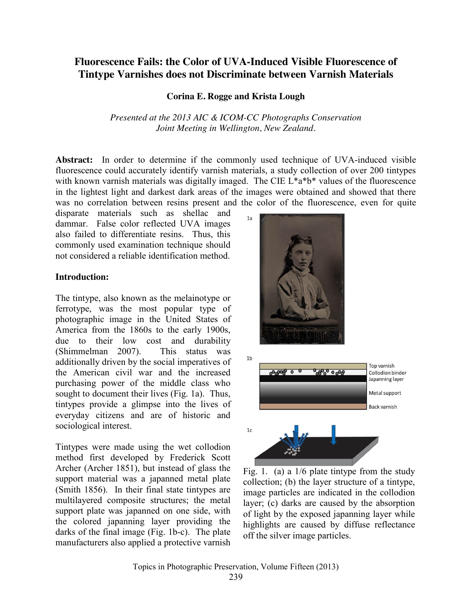# **Fluorescence Fails: the Color of UVA-Induced Visible Fluorescence of Tintype Varnishes does not Discriminate between Varnish Materials**

#### **Corina E. Rogge and Krista Lough**

*Presented at the 2013 AIC & ICOM-CC Photographs Conservation Joint Meeting in Wellington, New Zealand.*

**Abstract:** In order to determine if the commonly used technique of UVA-induced visible fluorescence could accurately identify varnish materials, a study collection of over 200 tintypes with known varnish materials was digitally imaged. The CIE L\*a\*b\* values of the fluorescence in the lightest light and darkest dark areas of the images were obtained and showed that there was no correlation between resins present and the color of the fluorescence, even for quite

disparate materials such as shellac and dammar. False color reflected UVA images also failed to differentiate resins. Thus, this commonly used examination technique should not considered a reliable identification method.

#### **Introduction:**

The tintype, also known as the melainotype or ferrotype, was the most popular type of photographic image in the United States of America from the 1860s to the early 1900s, due to their low cost and durability (Shimmelman 2007). This status was additionally driven by the social imperatives of the American civil war and the increased purchasing power of the middle class who sought to document their lives (Fig. 1a). Thus, tintypes provide a glimpse into the lives of everyday citizens and are of historic and sociological interest.

Tintypes were made using the wet collodion method first developed by Frederick Scott Archer (Archer 1851), but instead of glass the support material was a japanned metal plate (Smith 1856). In their final state tintypes are multilayered composite structures; the metal support plate was japanned on one side, with the colored japanning layer providing the darks of the final image (Fig. 1b-c). The plate manufacturers also applied a protective varnish





Fig. 1. (a) a 1/6 plate tintype from the study collection; (b) the layer structure of a tintype, image particles are indicated in the collodion layer; (c) darks are caused by the absorption of light by the exposed japanning layer while highlights are caused by diffuse reflectance off the silver image particles.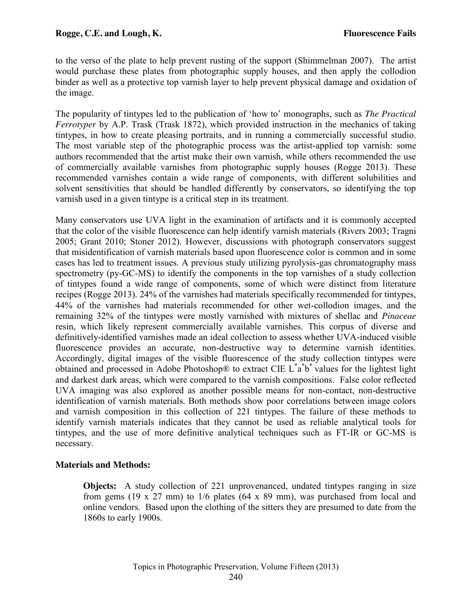to the verso of the plate to help prevent rusting of the support (Shimmelman 2007). The artist would purchase these plates from photographic supply houses, and then apply the collodion binder as well as a protective top varnish layer to help prevent physical damage and oxidation of the image.

The popularity of tintypes led to the publication of 'how to' monographs, such as *The Practical Ferrotyper* by A.P. Trask (Trask 1872), which provided instruction in the mechanics of taking tintypes, in how to create pleasing portraits, and in running a commercially successful studio. The most variable step of the photographic process was the artist-applied top varnish: some authors recommended that the artist make their own varnish, while others recommended the use of commercially available varnishes from photographic supply houses (Rogge 2013). These recommended varnishes contain a wide range of components, with different solubilities and solvent sensitivities that should be handled differently by conservators, so identifying the top varnish used in a given tintype is a critical step in its treatment.

Many conservators use UVA light in the examination of artifacts and it is commonly accepted that the color of the visible fluorescence can help identify varnish materials (Rivers 2003; Tragni 2005; Grant 2010; Stoner 2012). However, discussions with photograph conservators suggest that misidentification of varnish materials based upon fluorescence color is common and in some cases has led to treatment issues. A previous study utilizing pyrolysis-gas chromatography mass spectrometry (py-GC-MS) to identify the components in the top varnishes of a study collection of tintypes found a wide range of components, some of which were distinct from literature recipes (Rogge 2013). 24% of the varnishes had materials specifically recommended for tintypes, 44% of the varnishes had materials recommended for other wet-collodion images, and the remaining 32% of the tintypes were mostly varnished with mixtures of shellac and *Pinaceae* resin, which likely represent commercially available varnishes. This corpus of diverse and definitively-identified varnishes made an ideal collection to assess whether UVA-induced visible fluorescence provides an accurate, non-destructive way to determine varnish identities. Accordingly, digital images of the visible fluorescence of the study collection tintypes were obtained and processed in Adobe Photoshop® to extract CIE  $L^*$ a $^*$ b $^*$  values for the lightest light and darkest dark areas, which were compared to the varnish compositions. False color reflected UVA imaging was also explored as another possible means for non-contact, non-destructive identification of varnish materials. Both methods show poor correlations between image colors and varnish composition in this collection of 221 tintypes. The failure of these methods to identify varnish materials indicates that they cannot be used as reliable analytical tools for tintypes, and the use of more definitive analytical techniques such as FT-IR or GC-MS is necessary.

# **Materials and Methods:**

**Objects:** A study collection of 221 unprovenanced, undated tintypes ranging in size from gems (19 x 27 mm) to  $1/6$  plates (64 x 89 mm), was purchased from local and online vendors. Based upon the clothing of the sitters they are presumed to date from the 1860s to early 1900s.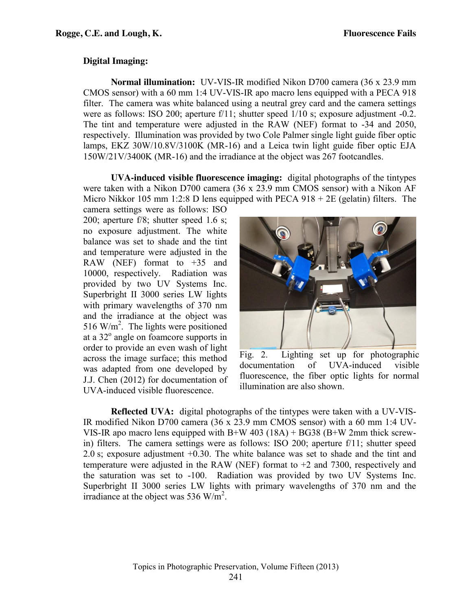#### **Digital Imaging:**

**Normal illumination:** UV-VIS-IR modified Nikon D700 camera (36 x 23.9 mm CMOS sensor) with a 60 mm 1:4 UV-VIS-IR apo macro lens equipped with a PECA 918 filter. The camera was white balanced using a neutral grey card and the camera settings were as follows: ISO 200; aperture f/11; shutter speed  $1/10$  s; exposure adjustment -0.2. The tint and temperature were adjusted in the RAW (NEF) format to -34 and 2050, respectively. Illumination was provided by two Cole Palmer single light guide fiber optic lamps, EKZ 30W/10.8V/3100K (MR-16) and a Leica twin light guide fiber optic EJA 150W/21V/3400K (MR-16) and the irradiance at the object was 267 footcandles.

**UVA-induced visible fluorescence imaging:** digital photographs of the tintypes were taken with a Nikon D700 camera (36 x 23.9 mm CMOS sensor) with a Nikon AF Micro Nikkor 105 mm 1:2:8 D lens equipped with PECA  $918 + 2E$  (gelatin) filters. The

camera settings were as follows: ISO 200; aperture f/8; shutter speed 1.6 s; no exposure adjustment. The white balance was set to shade and the tint and temperature were adjusted in the RAW (NEF) format to  $+35$  and 10000, respectively. Radiation was provided by two UV Systems Inc. Superbright II 3000 series LW lights with primary wavelengths of 370 nm and the irradiance at the object was 516 W/m<sup>2</sup>. The lights were positioned at a  $32^\circ$  angle on foamcore supports in order to provide an even wash of light across the image surface; this method was adapted from one developed by J.J. Chen (2012) for documentation of UVA-induced visible fluorescence.



Fig. 2. Lighting set up for photographic documentation of UVA-induced visible fluorescence, the fiber optic lights for normal illumination are also shown.

**Reflected UVA:** digital photographs of the tintypes were taken with a UV-VIS-IR modified Nikon D700 camera (36 x 23.9 mm CMOS sensor) with a 60 mm 1:4 UV-VIS-IR apo macro lens equipped with B+W 403 (18A) + BG38 (B+W 2mm thick screwin) filters. The camera settings were as follows: ISO 200; aperture f/11; shutter speed 2.0 s; exposure adjustment +0.30. The white balance was set to shade and the tint and temperature were adjusted in the RAW (NEF) format to +2 and 7300, respectively and the saturation was set to -100. Radiation was provided by two UV Systems Inc. Superbright II 3000 series LW lights with primary wavelengths of 370 nm and the irradiance at the object was 536 W/m<sup>2</sup>.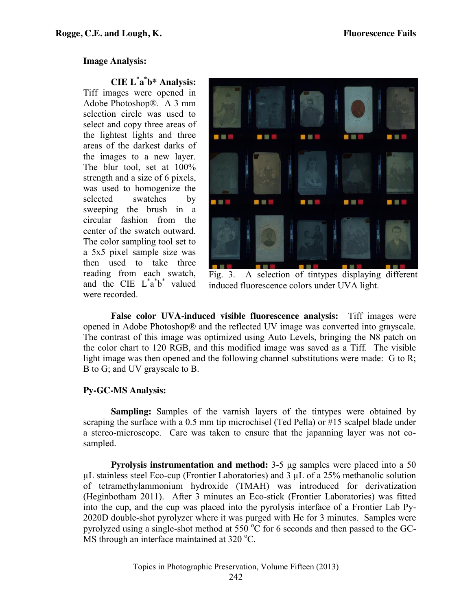#### **Image Analysis:**

**CIE L\* a\* b\* Analysis:** Tiff images were opened in Adobe Photoshop®. A 3 mm selection circle was used to select and copy three areas of the lightest lights and three areas of the darkest darks of the images to a new layer. The blur tool, set at 100% strength and a size of 6 pixels, was used to homogenize the selected swatches by sweeping the brush in a circular fashion from the center of the swatch outward. The color sampling tool set to a 5x5 pixel sample size was then used to take three reading from each swatch, and the CIE  $L^*a^*b^*$  valued were recorded.



Fig. 3. A selection of tintypes displaying different induced fluorescence colors under UVA light.

**False color UVA-induced visible fluorescence analysis:** Tiff images were opened in Adobe Photoshop® and the reflected UV image was converted into grayscale. The contrast of this image was optimized using Auto Levels, bringing the N8 patch on the color chart to 120 RGB, and this modified image was saved as a Tiff. The visible light image was then opened and the following channel substitutions were made: G to R; B to G; and UV grayscale to B.

# **Py-GC-MS Analysis:**

**Sampling:** Samples of the varnish layers of the tintypes were obtained by scraping the surface with a 0.5 mm tip microchisel (Ted Pella) or #15 scalpel blade under a stereo-microscope. Care was taken to ensure that the japanning layer was not cosampled.

**Pyrolysis instrumentation and method:** 3-5 μg samples were placed into a 50  $\mu$ L stainless steel Eco-cup (Frontier Laboratories) and 3  $\mu$ L of a 25% methanolic solution of tetramethylammonium hydroxide (TMAH) was introduced for derivatization (Heginbotham 2011). After 3 minutes an Eco-stick (Frontier Laboratories) was fitted into the cup, and the cup was placed into the pyrolysis interface of a Frontier Lab Py-2020D double-shot pyrolyzer where it was purged with He for 3 minutes. Samples were pyrolyzed using a single-shot method at 550  $\rm{^{\circ}C}$  for 6 seconds and then passed to the GC- $\overline{MS}$  through an interface maintained at 320 °C.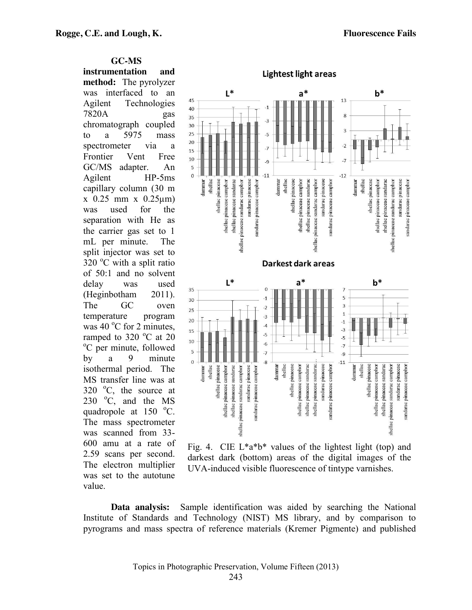**GC-MS instrumentation and method:** The pyrolyzer was interfaced to an Agilent Technologies 7820A gas chromatograph coupled to a 5975 mass spectrometer via a Frontier Vent Free GC/MS adapter. An Agilent HP-5ms capillary column (30 m x 0.25 mm x 0.25µm) was used for the separation with He as the carrier gas set to 1 mL per minute. The split injector was set to  $320$  °C with a split ratio of 50:1 and no solvent delay was used (Heginbotham 2011). The GC oven temperature program was  $40^{\circ}$ C for 2 minutes, ramped to  $320\degree C$  at  $20\degree C$  per minute followed C per minute, followed by a 9 minute isothermal period. The MS transfer line was at  $320$  °C, the source at 230  $\degree$ C, and the MS quadropole at  $150 \degree$ C. The mass spectrometer was scanned from 33- 600 amu at a rate of 2.59 scans per second. The electron multiplier was set to the autotune value.



Fig. 4. CIE  $L^*a^*b^*$  values of the lightest light (top) and darkest dark (bottom) areas of the digital images of the UVA-induced visible fluorescence of tintype varnishes.

**Data analysis:** Sample identification was aided by searching the National Institute of Standards and Technology (NIST) MS library, and by comparison to pyrograms and mass spectra of reference materials (Kremer Pigmente) and published

Topics in Photographic Preservation, Volume Fifteen (2013)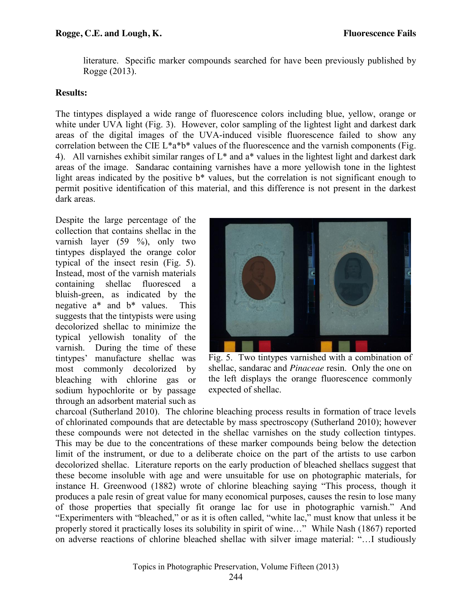literature. Specific marker compounds searched for have been previously published by Rogge (2013).

# **Results:**

The tintypes displayed a wide range of fluorescence colors including blue, yellow, orange or white under UVA light (Fig. 3). However, color sampling of the lightest light and darkest dark areas of the digital images of the UVA-induced visible fluorescence failed to show any correlation between the CIE  $L^*a^*b^*$  values of the fluorescence and the varnish components (Fig. 4). All varnishes exhibit similar ranges of  $L^*$  and  $a^*$  values in the lightest light and darkest dark areas of the image. Sandarac containing varnishes have a more yellowish tone in the lightest light areas indicated by the positive  $b^*$  values, but the correlation is not significant enough to permit positive identification of this material, and this difference is not present in the darkest dark areas.

Despite the large percentage of the collection that contains shellac in the varnish layer (59 %), only two tintypes displayed the orange color typical of the insect resin (Fig. 5). Instead, most of the varnish materials containing shellac fluoresced a bluish-green, as indicated by the negative a\* and b\* values. This suggests that the tintypists were using decolorized shellac to minimize the typical yellowish tonality of the varnish. During the time of these tintypes' manufacture shellac was most commonly decolorized by bleaching with chlorine gas or sodium hypochlorite or by passage through an adsorbent material such as



Fig. 5. Two tintypes varnished with a combination of shellac, sandarac and *Pinaceae* resin. Only the one on the left displays the orange fluorescence commonly expected of shellac.

charcoal (Sutherland 2010). The chlorine bleaching process results in formation of trace levels of chlorinated compounds that are detectable by mass spectroscopy (Sutherland 2010); however these compounds were not detected in the shellac varnishes on the study collection tintypes. This may be due to the concentrations of these marker compounds being below the detection limit of the instrument, or due to a deliberate choice on the part of the artists to use carbon decolorized shellac. Literature reports on the early production of bleached shellacs suggest that these become insoluble with age and were unsuitable for use on photographic materials, for instance H. Greenwood (1882) wrote of chlorine bleaching saying "This process, though it produces a pale resin of great value for many economical purposes, causes the resin to lose many of those properties that specially fit orange lac for use in photographic varnish." And "Experimenters with "bleached," or as it is often called, "white lac," must know that unless it be properly stored it practically loses its solubility in spirit of wine…" While Nash (1867) reported on adverse reactions of chlorine bleached shellac with silver image material: "…I studiously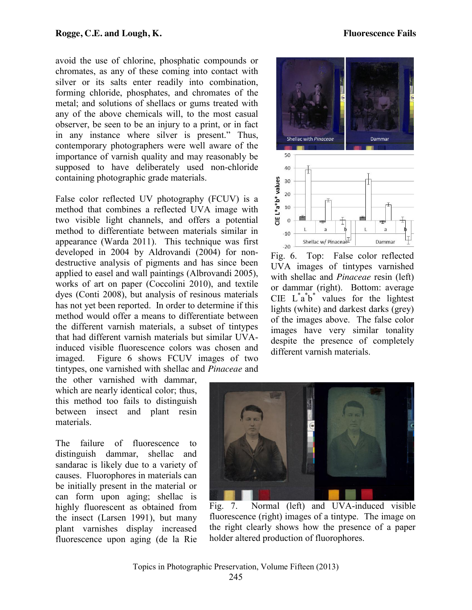avoid the use of chlorine, phosphatic compounds or chromates, as any of these coming into contact with silver or its salts enter readily into combination, forming chloride, phosphates, and chromates of the metal; and solutions of shellacs or gums treated with any of the above chemicals will, to the most casual observer, be seen to be an injury to a print, or in fact in any instance where silver is present." Thus, contemporary photographers were well aware of the importance of varnish quality and may reasonably be supposed to have deliberately used non-chloride containing photographic grade materials.

False color reflected UV photography (FCUV) is a method that combines a reflected UVA image with two visible light channels, and offers a potential method to differentiate between materials similar in appearance (Warda 2011). This technique was first developed in 2004 by Aldrovandi (2004) for nondestructive analysis of pigments and has since been applied to easel and wall paintings (Albrovandi 2005), works of art on paper (Coccolini 2010), and textile dyes (Conti 2008), but analysis of resinous materials has not yet been reported. In order to determine if this method would offer a means to differentiate between the different varnish materials, a subset of tintypes that had different varnish materials but similar UVAinduced visible fluorescence colors was chosen and imaged. Figure 6 shows FCUV images of two tintypes, one varnished with shellac and *Pinaceae* and



Fig. 6. Top: False color reflected UVA images of tintypes varnished with shellac and *Pinaceae* resin (left) or dammar (right). Bottom: average CIE  $L^*a^*b^*$  values for the lightest lights (white) and darkest darks (grey) of the images above. The false color images have very similar tonality despite the presence of completely different varnish materials.

the other varnished with dammar, which are nearly identical color; thus, this method too fails to distinguish between insect and plant resin materials.

The failure of fluorescence to distinguish dammar, shellac and sandarac is likely due to a variety of causes. Fluorophores in materials can be initially present in the material or can form upon aging; shellac is highly fluorescent as obtained from the insect (Larsen 1991), but many plant varnishes display increased fluorescence upon aging (de la Rie



Fig. 7. Normal (left) and UVA-induced visible fluorescence (right) images of a tintype. The image on the right clearly shows how the presence of a paper holder altered production of fluorophores.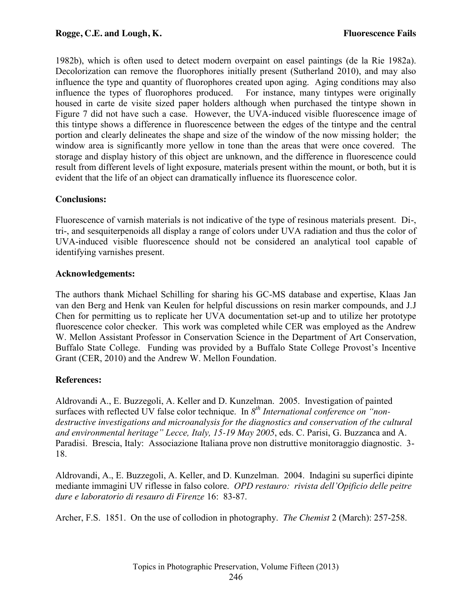1982b), which is often used to detect modern overpaint on easel paintings (de la Rie 1982a). Decolorization can remove the fluorophores initially present (Sutherland 2010), and may also influence the type and quantity of fluorophores created upon aging. Aging conditions may also influence the types of fluorophores produced. For instance, many tintypes were originally housed in carte de visite sized paper holders although when purchased the tintype shown in Figure 7 did not have such a case. However, the UVA-induced visible fluorescence image of this tintype shows a difference in fluorescence between the edges of the tintype and the central portion and clearly delineates the shape and size of the window of the now missing holder; the window area is significantly more yellow in tone than the areas that were once covered. The storage and display history of this object are unknown, and the difference in fluorescence could result from different levels of light exposure, materials present within the mount, or both, but it is evident that the life of an object can dramatically influence its fluorescence color.

# **Conclusions:**

Fluorescence of varnish materials is not indicative of the type of resinous materials present. Di-, tri-, and sesquiterpenoids all display a range of colors under UVA radiation and thus the color of UVA-induced visible fluorescence should not be considered an analytical tool capable of identifying varnishes present.

# **Acknowledgements:**

The authors thank Michael Schilling for sharing his GC-MS database and expertise, Klaas Jan van den Berg and Henk van Keulen for helpful discussions on resin marker compounds, and J.J Chen for permitting us to replicate her UVA documentation set-up and to utilize her prototype fluorescence color checker. This work was completed while CER was employed as the Andrew W. Mellon Assistant Professor in Conservation Science in the Department of Art Conservation, Buffalo State College. Funding was provided by a Buffalo State College Provost's Incentive Grant (CER, 2010) and the Andrew W. Mellon Foundation.

# **References:**

Aldrovandi A., E. Buzzegoli, A. Keller and D. Kunzelman. 2005. Investigation of painted surfaces with reflected UV false color technique. In  $8^{th}$  *International conference on* "non*destructive investigations and microanalysis for the diagnostics and conservation of the cultural and environmental heritage" Lecce, Italy, 15-19 May 2005*, eds. C. Parisi, G. Buzzanca and A. Paradisi. Brescia, Italy: Associazione Italiana prove non distruttive monitoraggio diagnostic. 3- 18.

Aldrovandi, A., E. Buzzegoli, A. Keller, and D. Kunzelman. 2004. Indagini su superfici dipinte mediante immagini UV riflesse in falso colore. *OPD restauro: rivista dell'Opificio delle peitre dure e laboratorio di resauro di Firenze* 16: 83-87.

Archer, F.S. 1851. On the use of collodion in photography. *The Chemist* 2 (March): 257-258.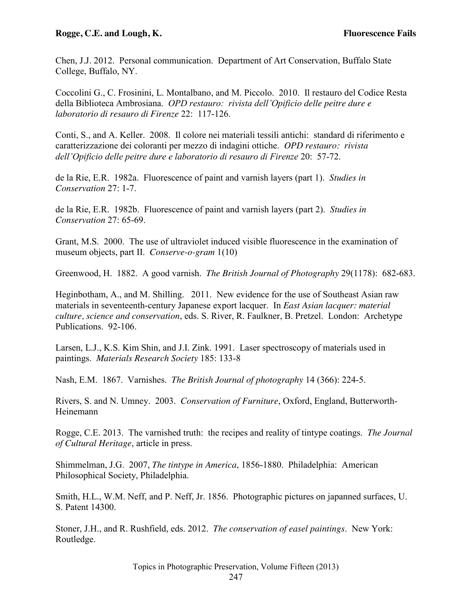#### **Rogge, C.E. and Lough, K. Fluorescence Fails**

Chen, J.J. 2012. Personal communication. Department of Art Conservation, Buffalo State College, Buffalo, NY.

Coccolini G., C. Frosinini, L. Montalbano, and M. Piccolo. 2010. Il restauro del Codice Resta della Biblioteca Ambrosiana. *OPD restauro: rivista dell'Opificio delle peitre dure e laboratorio di resauro di Firenze* 22: 117-126.

Conti, S., and A. Keller. 2008. Il colore nei materiali tessili antichi: standard di riferimento e caratterizzazione dei coloranti per mezzo di indagini ottiche. *OPD restauro: rivista dell'Opificio delle peitre dure e laboratorio di resauro di Firenze* 20: 57-72.

de la Rie, E.R. 1982a. Fluorescence of paint and varnish layers (part 1). *Studies in Conservation* 27: 1-7.

de la Rie, E.R. 1982b. Fluorescence of paint and varnish layers (part 2). *Studies in Conservation* 27: 65-69.

Grant, M.S. 2000. The use of ultraviolet induced visible fluorescence in the examination of museum objects, part II. *Conserve-o-gram* 1(10)

Greenwood, H. 1882. A good varnish. *The British Journal of Photography* 29(1178): 682-683.

Heginbotham, A., and M. Shilling. 2011. New evidence for the use of Southeast Asian raw materials in seventeenth-century Japanese export lacquer. In *East Asian lacquer: material culture, science and conservation*, eds. S. River, R. Faulkner, B. Pretzel. London: Archetype Publications. 92-106.

Larsen, L.J., K.S. Kim Shin, and J.I. Zink. 1991. Laser spectroscopy of materials used in paintings. *Materials Research Society* 185: 133-8

Nash, E.M. 1867. Varnishes. *The British Journal of photography* 14 (366): 224-5.

Rivers, S. and N. Umney. 2003. *Conservation of Furniture*, Oxford, England, Butterworth-Heinemann

Rogge, C.E. 2013. The varnished truth: the recipes and reality of tintype coatings. *The Journal of Cultural Heritage*, article in press.

Shimmelman, J.G. 2007, *The tintype in America*, 1856-1880. Philadelphia: American Philosophical Society, Philadelphia.

Smith, H.L., W.M. Neff, and P. Neff, Jr. 1856. Photographic pictures on japanned surfaces, U. S. Patent 14300.

Stoner, J.H., and R. Rushfield, eds. 2012. *The conservation of easel paintings*. New York: Routledge.

Topics in Photographic Preservation, Volume Fifteen (2013)